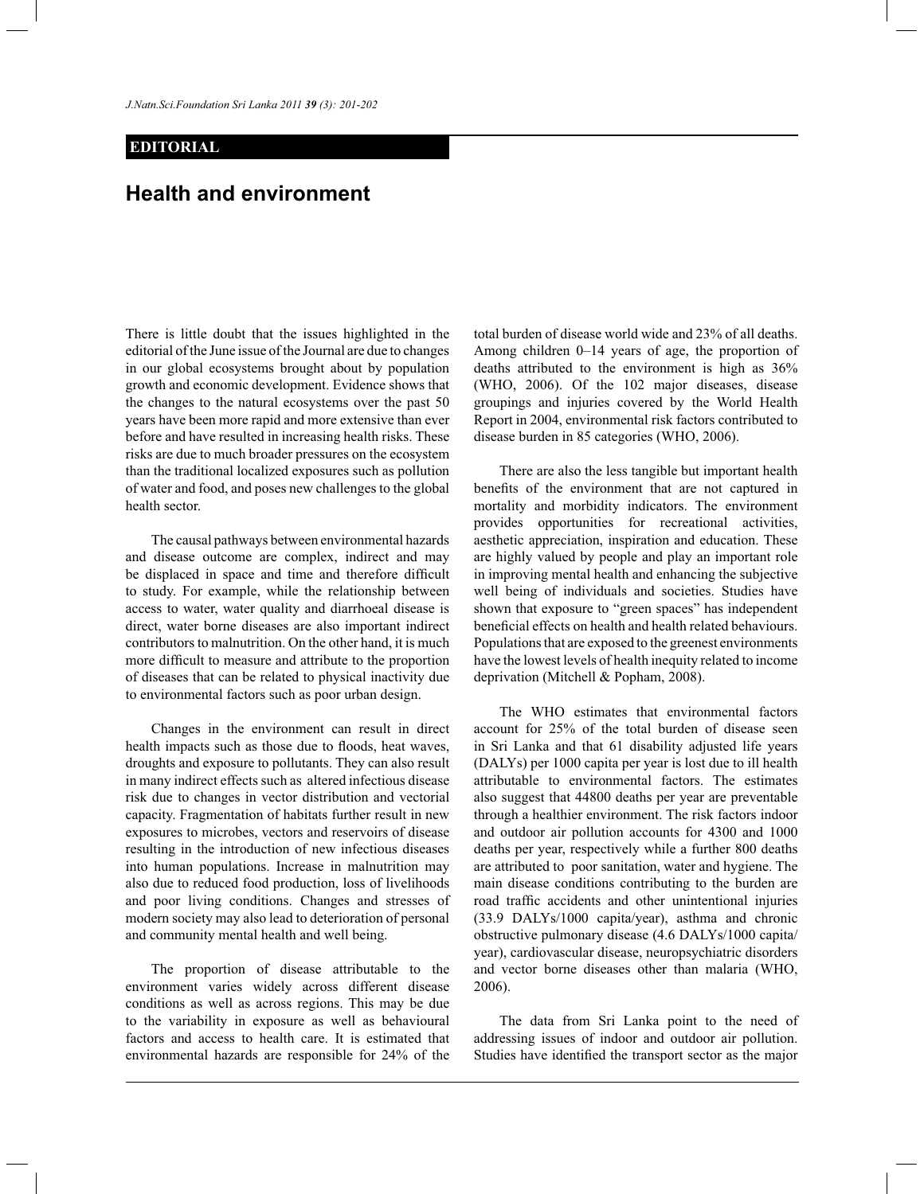*J.Natn.Sci.Foundation Sri Lanka 2011 39 (3): 201*-*202* 

## **EDITORIAL**

## **Health and environment**

There is little doubt that the issues highlighted in the editorial of the June issue of the Journal are due to changes in our global ecosystems brought about by population growth and economic development. Evidence shows that the changes to the natural ecosystems over the past 50 years have been more rapid and more extensive than ever before and have resulted in increasing health risks. These risks are due to much broader pressures on the ecosystem than the traditional localized exposures such as pollution of water and food, and poses new challenges to the global health sector.

 The causal pathways between environmental hazards and disease outcome are complex, indirect and may be displaced in space and time and therefore difficult to study. For example, while the relationship between access to water, water quality and diarrhoeal disease is direct, water borne diseases are also important indirect contributors to malnutrition. On the other hand, it is much more difficult to measure and attribute to the proportion of diseases that can be related to physical inactivity due to environmental factors such as poor urban design.

 Changes in the environment can result in direct health impacts such as those due to floods, heat waves, droughts and exposure to pollutants. They can also result in many indirect effects such as altered infectious disease risk due to changes in vector distribution and vectorial capacity. Fragmentation of habitats further result in new exposures to microbes, vectors and reservoirs of disease resulting in the introduction of new infectious diseases into human populations. Increase in malnutrition may also due to reduced food production, loss of livelihoods and poor living conditions. Changes and stresses of modern society may also lead to deterioration of personal and community mental health and well being.

The proportion of disease attributable to the environment varies widely across different disease conditions as well as across regions. This may be due to the variability in exposure as well as behavioural factors and access to health care. It is estimated that environmental hazards are responsible for 24% of the

total burden of disease world wide and 23% of all deaths. Among children 0–14 years of age, the proportion of deaths attributed to the environment is high as 36% (WHO, 2006). Of the 102 major diseases, disease groupings and injuries covered by the World Health Report in 2004, environmental risk factors contributed to disease burden in 85 categories (WHO, 2006).

 There are also the less tangible but important health benefits of the environment that are not captured in mortality and morbidity indicators. The environment provides opportunities for recreational activities, aesthetic appreciation, inspiration and education. These are highly valued by people and play an important role in improving mental health and enhancing the subjective well being of individuals and societies. Studies have shown that exposure to "green spaces" has independent beneficial effects on health and health related behaviours. Populations that are exposed to the greenest environments have the lowest levels of health inequity related to income deprivation (Mitchell & Popham, 2008).

 The WHO estimates that environmental factors account for 25% of the total burden of disease seen in Sri Lanka and that 61 disability adjusted life years (DALYs) per 1000 capita per year is lost due to ill health attributable to environmental factors. The estimates also suggest that 44800 deaths per year are preventable through a healthier environment. The risk factors indoor and outdoor air pollution accounts for 4300 and 1000 deaths per year, respectively while a further 800 deaths are attributed to poor sanitation, water and hygiene. The main disease conditions contributing to the burden are road traffic accidents and other unintentional injuries (33.9 DALYs/1000 capita/year), asthma and chronic obstructive pulmonary disease (4.6 DALYs/1000 capita/ year), cardiovascular disease, neuropsychiatric disorders and vector borne diseases other than malaria (WHO, 2006).

 The data from Sri Lanka point to the need of addressing issues of indoor and outdoor air pollution. Studies have identified the transport sector as the major